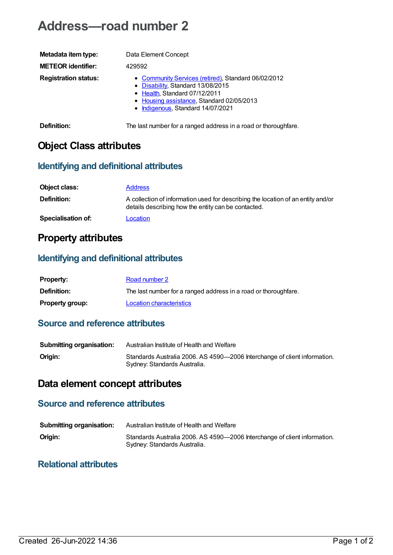# **Address—road number 2**

| Metadata item type:         | Data Element Concept                                                                                                                                                                                        |
|-----------------------------|-------------------------------------------------------------------------------------------------------------------------------------------------------------------------------------------------------------|
| <b>METEOR identifier:</b>   | 429592                                                                                                                                                                                                      |
| <b>Registration status:</b> | • Community Services (retired), Standard 06/02/2012<br>• Disability, Standard 13/08/2015<br>• Health, Standard 07/12/2011<br>• Housing assistance, Standard 02/05/2013<br>• Indigenous, Standard 14/07/2021 |
| Definition:                 | The last number for a ranged address in a road or thoroughfare.                                                                                                                                             |

### **Object Class attributes**

#### **Identifying and definitional attributes**

| Object class:             | <b>Address</b>                                                                                                                          |
|---------------------------|-----------------------------------------------------------------------------------------------------------------------------------------|
| <b>Definition:</b>        | A collection of information used for describing the location of an entity and/or<br>details describing how the entity can be contacted. |
| <b>Specialisation of:</b> | Location                                                                                                                                |

### **Property attributes**

#### **Identifying and definitional attributes**

| <b>Property:</b>       | Road number 2                                                   |
|------------------------|-----------------------------------------------------------------|
| <b>Definition:</b>     | The last number for a ranged address in a road or thoroughfare. |
| <b>Property group:</b> | Location characteristics                                        |

#### **Source and reference attributes**

| <b>Submitting organisation:</b> | Australian Institute of Health and Welfare                                                                |
|---------------------------------|-----------------------------------------------------------------------------------------------------------|
| Origin:                         | Standards Australia 2006. AS 4590-2006 Interchange of client information.<br>Sydney: Standards Australia. |

## **Data element concept attributes**

#### **Source and reference attributes**

| <b>Submitting organisation:</b> | Australian Institute of Health and Welfare                                                                |
|---------------------------------|-----------------------------------------------------------------------------------------------------------|
| Origin:                         | Standards Australia 2006. AS 4590-2006 Interchange of client information.<br>Sydney: Standards Australia. |

#### **Relational attributes**